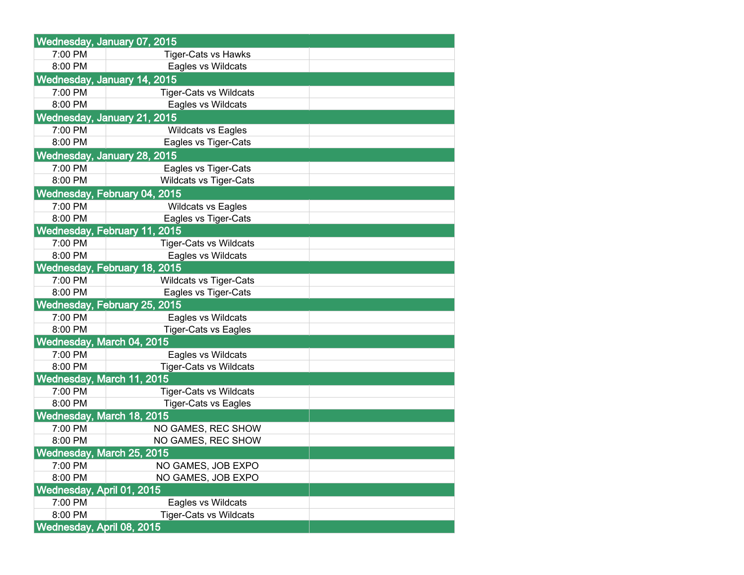|                                     | Wednesday, January 07, 2015   |  |  |  |
|-------------------------------------|-------------------------------|--|--|--|
| 7:00 PM                             | <b>Tiger-Cats vs Hawks</b>    |  |  |  |
| 8:00 PM                             | Eagles vs Wildcats            |  |  |  |
| Wednesday, January 14, 2015         |                               |  |  |  |
| 7:00 PM                             | <b>Tiger-Cats vs Wildcats</b> |  |  |  |
| 8:00 PM                             | Eagles vs Wildcats            |  |  |  |
| Wednesday, January 21, 2015         |                               |  |  |  |
| 7:00 PM                             | <b>Wildcats vs Eagles</b>     |  |  |  |
| 8:00 PM                             | Eagles vs Tiger-Cats          |  |  |  |
|                                     | Wednesday, January 28, 2015   |  |  |  |
| 7:00 PM                             | Eagles vs Tiger-Cats          |  |  |  |
| 8:00 PM                             | <b>Wildcats vs Tiger-Cats</b> |  |  |  |
|                                     | Wednesday, February 04, 2015  |  |  |  |
| 7:00 PM                             | <b>Wildcats vs Eagles</b>     |  |  |  |
| 8:00 PM                             | Eagles vs Tiger-Cats          |  |  |  |
| <b>Wednesday, February 11, 2015</b> |                               |  |  |  |
| 7:00 PM                             | <b>Tiger-Cats vs Wildcats</b> |  |  |  |
| 8:00 PM                             | Eagles vs Wildcats            |  |  |  |
| Wednesday, February 18, 2015        |                               |  |  |  |
| 7:00 PM                             | <b>Wildcats vs Tiger-Cats</b> |  |  |  |
| 8:00 PM                             | Eagles vs Tiger-Cats          |  |  |  |
| Wednesday, February 25, 2015        |                               |  |  |  |
| 7:00 PM                             | Eagles vs Wildcats            |  |  |  |
| 8:00 PM                             | <b>Tiger-Cats vs Eagles</b>   |  |  |  |
| Wednesday, March 04, 2015           |                               |  |  |  |
| 7:00 PM                             | Eagles vs Wildcats            |  |  |  |
| 8:00 PM                             | <b>Tiger-Cats vs Wildcats</b> |  |  |  |
| Wednesday, March 11, 2015           |                               |  |  |  |
| 7:00 PM                             | <b>Tiger-Cats vs Wildcats</b> |  |  |  |
| 8:00 PM                             | <b>Tiger-Cats vs Eagles</b>   |  |  |  |
| Wednesday, March 18, 2015           |                               |  |  |  |
| 7:00 PM                             | NO GAMES, REC SHOW            |  |  |  |
| 8:00 PM                             | NO GAMES, REC SHOW            |  |  |  |
| Wednesday, March 25, 2015           |                               |  |  |  |
| 7:00 PM                             | NO GAMES, JOB EXPO            |  |  |  |
| 8:00 PM                             | NO GAMES, JOB EXPO            |  |  |  |
| Wednesday, April 01, 2015           |                               |  |  |  |
| 7:00 PM                             | Eagles vs Wildcats            |  |  |  |
| 8:00 PM                             | <b>Tiger-Cats vs Wildcats</b> |  |  |  |
| Wednesday, April 08, 2015           |                               |  |  |  |